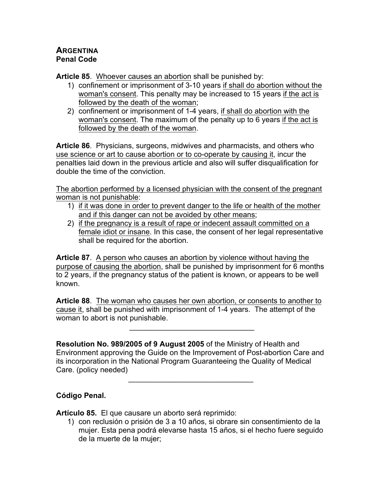## **ARGENTINA Penal Code**

**Article 85**. Whoever causes an abortion shall be punished by:

- 1) confinement or imprisonment of 3-10 years if shall do abortion without the woman's consent. This penalty may be increased to 15 years if the act is followed by the death of the woman;
- 2) confinement or imprisonment of 1-4 years, if shall do abortion with the woman's consent. The maximum of the penalty up to 6 years if the act is followed by the death of the woman.

**Article 86**. Physicians, surgeons, midwives and pharmacists, and others who use science or art to cause abortion or to co-operate by causing it, incur the penalties laid down in the previous article and also will suffer disqualification for double the time of the conviction.

The abortion performed by a licensed physician with the consent of the pregnant woman is not punishable:

- 1) if it was done in order to prevent danger to the life or health of the mother and if this danger can not be avoided by other means;
- 2) if the pregnancy is a result of rape or indecent assault committed on a female idiot or insane. In this case, the consent of her legal representative shall be required for the abortion.

**Article 87**. A person who causes an abortion by violence without having the purpose of causing the abortion, shall be punished by imprisonment for 6 months to 2 years, if the pregnancy status of the patient is known, or appears to be well known.

**Article 88**. The woman who causes her own abortion, or consents to another to cause it, shall be punished with imprisonment of 1-4 years. The attempt of the woman to abort is not punishable.

 $\mathcal{L}_\text{max}$  and  $\mathcal{L}_\text{max}$  and  $\mathcal{L}_\text{max}$ 

**Resolution No. 989/2005 of 9 August 2005** of the Ministry of Health and Environment approving the Guide on the Improvement of Post-abortion Care and its incorporation in the National Program Guaranteeing the Quality of Medical Care. (policy needed)

 $\mathcal{L}_\text{max}$  and  $\mathcal{L}_\text{max}$  and  $\mathcal{L}_\text{max}$ 

## **Código Penal.**

**Artículo 85.** El que causare un aborto será reprimido:

1) con reclusión o prisión de 3 a 10 años, si obrare sin consentimiento de la mujer. Esta pena podrá elevarse hasta 15 años, si el hecho fuere seguido de la muerte de la mujer;